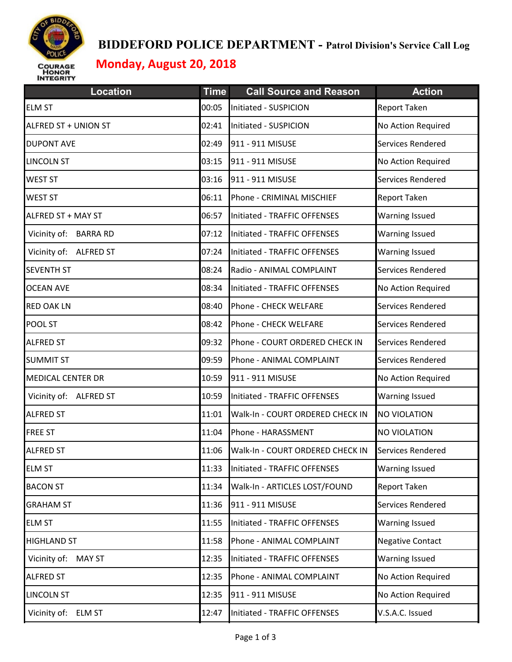

#### **BIDDEFORD POLICE DEPARTMENT - Patrol Division's Service Call Log**

# **Monday, August 20, 2018**

| <b>Location</b>               | <b>Time</b> | <b>Call Source and Reason</b>    | <b>Action</b>            |
|-------------------------------|-------------|----------------------------------|--------------------------|
| <b>ELM ST</b>                 | 00:05       | Initiated - SUSPICION            | <b>Report Taken</b>      |
| ALFRED ST + UNION ST          | 02:41       | Initiated - SUSPICION            | No Action Required       |
| <b>DUPONT AVE</b>             | 02:49       | 911 - 911 MISUSE                 | Services Rendered        |
| <b>LINCOLN ST</b>             | 03:15       | 911 - 911 MISUSE                 | No Action Required       |
| <b>WEST ST</b>                | 03:16       | 911 - 911 MISUSE                 | Services Rendered        |
| <b>WEST ST</b>                | 06:11       | Phone - CRIMINAL MISCHIEF        | Report Taken             |
| ALFRED ST + MAY ST            | 06:57       | Initiated - TRAFFIC OFFENSES     | <b>Warning Issued</b>    |
| Vicinity of: BARRA RD         | 07:12       | Initiated - TRAFFIC OFFENSES     | <b>Warning Issued</b>    |
| Vicinity of: ALFRED ST        | 07:24       | Initiated - TRAFFIC OFFENSES     | <b>Warning Issued</b>    |
| <b>SEVENTH ST</b>             | 08:24       | Radio - ANIMAL COMPLAINT         | Services Rendered        |
| <b>OCEAN AVE</b>              | 08:34       | Initiated - TRAFFIC OFFENSES     | No Action Required       |
| <b>RED OAK LN</b>             | 08:40       | Phone - CHECK WELFARE            | Services Rendered        |
| POOL ST                       | 08:42       | Phone - CHECK WELFARE            | Services Rendered        |
| <b>ALFRED ST</b>              | 09:32       | Phone - COURT ORDERED CHECK IN   | Services Rendered        |
| <b>SUMMIT ST</b>              | 09:59       | Phone - ANIMAL COMPLAINT         | Services Rendered        |
| <b>MEDICAL CENTER DR</b>      | 10:59       | 911 - 911 MISUSE                 | No Action Required       |
| Vicinity of: ALFRED ST        | 10:59       | Initiated - TRAFFIC OFFENSES     | <b>Warning Issued</b>    |
| <b>ALFRED ST</b>              | 11:01       | Walk-In - COURT ORDERED CHECK IN | <b>NO VIOLATION</b>      |
| <b>FREE ST</b>                | 11:04       | Phone - HARASSMENT               | <b>NO VIOLATION</b>      |
| <b>ALFRED ST</b>              | 11:06       | Walk-In - COURT ORDERED CHECK IN | <b>Services Rendered</b> |
| <b>ELM ST</b>                 | 11:33       | Initiated - TRAFFIC OFFENSES     | <b>Warning Issued</b>    |
| <b>BACON ST</b>               | 11:34       | Walk-In - ARTICLES LOST/FOUND    | <b>Report Taken</b>      |
| <b>GRAHAM ST</b>              | 11:36       | 911 - 911 MISUSE                 | Services Rendered        |
| <b>ELM ST</b>                 | 11:55       | Initiated - TRAFFIC OFFENSES     | <b>Warning Issued</b>    |
| <b>HIGHLAND ST</b>            | 11:58       | Phone - ANIMAL COMPLAINT         | <b>Negative Contact</b>  |
| Vicinity of: MAY ST           | 12:35       | Initiated - TRAFFIC OFFENSES     | <b>Warning Issued</b>    |
| <b>ALFRED ST</b>              | 12:35       | Phone - ANIMAL COMPLAINT         | No Action Required       |
| <b>LINCOLN ST</b>             | 12:35       | 911 - 911 MISUSE                 | No Action Required       |
| Vicinity of:<br><b>ELM ST</b> | 12:47       | Initiated - TRAFFIC OFFENSES     | V.S.A.C. Issued          |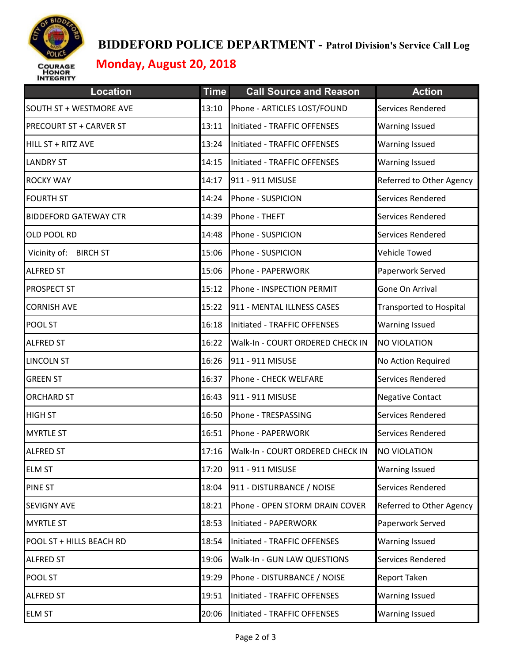

#### **BIDDEFORD POLICE DEPARTMENT - Patrol Division's Service Call Log**

## **Monday, August 20, 2018**

| <b>Location</b>                 | <b>Time</b> | <b>Call Source and Reason</b>    | <b>Action</b>                  |
|---------------------------------|-------------|----------------------------------|--------------------------------|
| SOUTH ST + WESTMORE AVE         | 13:10       | Phone - ARTICLES LOST/FOUND      | Services Rendered              |
| PRECOURT ST + CARVER ST         | 13:11       | Initiated - TRAFFIC OFFENSES     | <b>Warning Issued</b>          |
| HILL ST + RITZ AVE              | 13:24       | Initiated - TRAFFIC OFFENSES     | Warning Issued                 |
| <b>LANDRY ST</b>                | 14:15       | Initiated - TRAFFIC OFFENSES     | <b>Warning Issued</b>          |
| <b>ROCKY WAY</b>                | 14:17       | 911 - 911 MISUSE                 | Referred to Other Agency       |
| <b>FOURTH ST</b>                | 14:24       | Phone - SUSPICION                | Services Rendered              |
| <b>BIDDEFORD GATEWAY CTR</b>    | 14:39       | Phone - THEFT                    | Services Rendered              |
| OLD POOL RD                     | 14:48       | Phone - SUSPICION                | Services Rendered              |
| <b>BIRCH ST</b><br>Vicinity of: | 15:06       | Phone - SUSPICION                | Vehicle Towed                  |
| <b>ALFRED ST</b>                | 15:06       | Phone - PAPERWORK                | Paperwork Served               |
| PROSPECT ST                     | 15:12       | Phone - INSPECTION PERMIT        | Gone On Arrival                |
| <b>CORNISH AVE</b>              | 15:22       | 911 - MENTAL ILLNESS CASES       | <b>Transported to Hospital</b> |
| POOL ST                         | 16:18       | Initiated - TRAFFIC OFFENSES     | <b>Warning Issued</b>          |
| <b>ALFRED ST</b>                | 16:22       | Walk-In - COURT ORDERED CHECK IN | NO VIOLATION                   |
| <b>LINCOLN ST</b>               | 16:26       | 911 - 911 MISUSE                 | No Action Required             |
| <b>GREEN ST</b>                 | 16:37       | Phone - CHECK WELFARE            | Services Rendered              |
| <b>ORCHARD ST</b>               | 16:43       | 911 - 911 MISUSE                 | <b>Negative Contact</b>        |
| <b>HIGH ST</b>                  | 16:50       | Phone - TRESPASSING              | Services Rendered              |
| <b>MYRTLE ST</b>                | 16:51       | Phone - PAPERWORK                | <b>Services Rendered</b>       |
| <b>ALFRED ST</b>                | 17:16       | Walk-In - COURT ORDERED CHECK IN | <b>NO VIOLATION</b>            |
| <b>ELM ST</b>                   | 17:20       | 911 - 911 MISUSE                 | <b>Warning Issued</b>          |
| PINE ST                         | 18:04       | 911 - DISTURBANCE / NOISE        | Services Rendered              |
| <b>SEVIGNY AVE</b>              | 18:21       | Phone - OPEN STORM DRAIN COVER   | Referred to Other Agency       |
| <b>MYRTLE ST</b>                | 18:53       | Initiated - PAPERWORK            | Paperwork Served               |
| POOL ST + HILLS BEACH RD        | 18:54       | Initiated - TRAFFIC OFFENSES     | <b>Warning Issued</b>          |
| <b>ALFRED ST</b>                | 19:06       | Walk-In - GUN LAW QUESTIONS      | Services Rendered              |
| POOL ST                         | 19:29       | Phone - DISTURBANCE / NOISE      | Report Taken                   |
| <b>ALFRED ST</b>                | 19:51       | Initiated - TRAFFIC OFFENSES     | <b>Warning Issued</b>          |
| <b>ELM ST</b>                   | 20:06       | Initiated - TRAFFIC OFFENSES     | Warning Issued                 |